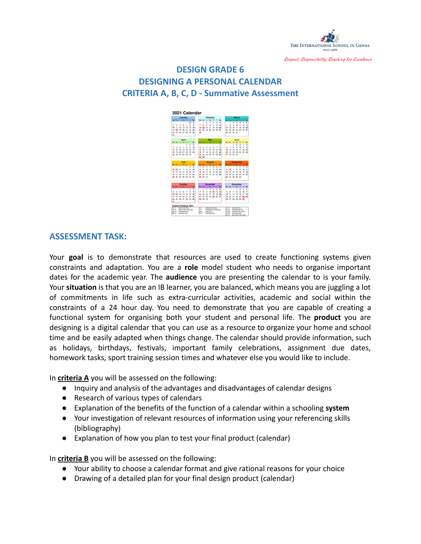

# **DESIGN GRADE 6 DESIGNING A PERSONAL CALENDAR CRITERIA A, B, C, D - Summative Assessment**



### **ASSESSMENT TASK:**

Your **goal** is to demonstrate that resources are used to create functioning systems given constraints and adaptation. You are a **role** model student who needs to organise important dates for the academic year. The **audience** you are presenting the calendar to is your family. Your **situation** is that you are an IB learner, you are balanced, which means you are juggling a lot of commitments in life such as extra-curricular activities, academic and social within the constraints of a 24 hour day. You need to demonstrate that you are capable of creating a functional system for organising both your student and personal life. The **product** you are designing is a digital calendar that you can use as a resource to organize your home and school time and be easily adapted when things change. The calendar should provide information, such as holidays, birthdays, festivals, important family celebrations, assignment due dates, homework tasks, sport training session times and whatever else you would like to include.

In **criteria A** you will be assessed on the following:

- Inquiry and analysis of the advantages and disadvantages of calendar designs
- Research of various types of calendars
- Explanation of the benefits of the function of a calendar within a schooling **system**
- Your investigation of relevant resources of information using your referencing skills (bibliography)
- Explanation of how you plan to test your final product (calendar)

In **criteria B** you will be assessed on the following:

- Your ability to choose a calendar format and give rational reasons for your choice
- Drawing of a detailed plan for your final design product (calendar)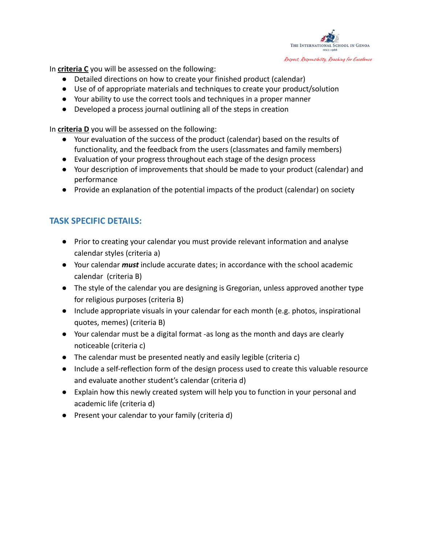

In **criteria C** you will be assessed on the following:

- Detailed directions on how to create your finished product (calendar)
- Use of of appropriate materials and techniques to create your product/solution
- Your ability to use the correct tools and techniques in a proper manner
- Developed a process journal outlining all of the steps in creation

In **criteria D** you will be assessed on the following:

- Your evaluation of the success of the product (calendar) based on the results of functionality, and the feedback from the users (classmates and family members)
- Evaluation of your progress throughout each stage of the design process
- Your description of improvements that should be made to your product (calendar) and performance
- Provide an explanation of the potential impacts of the product (calendar) on society

### **TASK SPECIFIC DETAILS:**

- Prior to creating your calendar you must provide relevant information and analyse calendar styles (criteria a)
- Your calendar *must* include accurate dates; in accordance with the school academic calendar (criteria B)
- The style of the calendar you are designing is Gregorian, unless approved another type for religious purposes (criteria B)
- Include appropriate visuals in your calendar for each month (e.g. photos, inspirational quotes, memes) (criteria B)
- Your calendar must be a digital format -as long as the month and days are clearly noticeable (criteria c)
- The calendar must be presented neatly and easily legible (criteria c)
- Include a self-reflection form of the design process used to create this valuable resource and evaluate another student's calendar (criteria d)
- Explain how this newly created system will help you to function in your personal and academic life (criteria d)
- Present your calendar to your family (criteria d)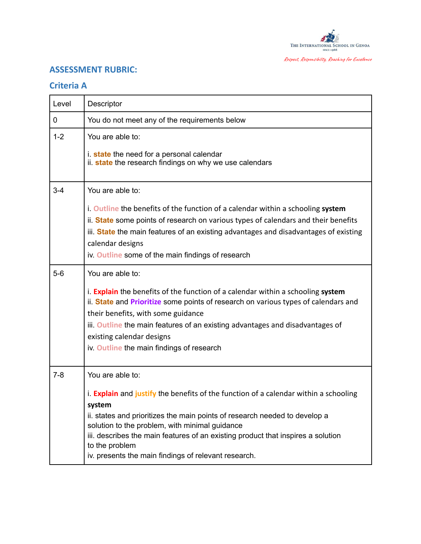

## **ASSESSMENT RUBRIC:**

## **Criteria A**

| Level   | Descriptor                                                                                                                                                                                                                                                                                                                                                                                                       |
|---------|------------------------------------------------------------------------------------------------------------------------------------------------------------------------------------------------------------------------------------------------------------------------------------------------------------------------------------------------------------------------------------------------------------------|
| 0       | You do not meet any of the requirements below                                                                                                                                                                                                                                                                                                                                                                    |
| $1 - 2$ | You are able to:                                                                                                                                                                                                                                                                                                                                                                                                 |
|         | i. state the need for a personal calendar<br>ii. state the research findings on why we use calendars                                                                                                                                                                                                                                                                                                             |
| $3 - 4$ | You are able to:                                                                                                                                                                                                                                                                                                                                                                                                 |
|         | i. Outline the benefits of the function of a calendar within a schooling system<br>ii. State some points of research on various types of calendars and their benefits<br>iii. State the main features of an existing advantages and disadvantages of existing<br>calendar designs<br>iv. Outline some of the main findings of research                                                                           |
| $5-6$   | You are able to:<br>i. <b>Explain</b> the benefits of the function of a calendar within a schooling system<br>ii. State and Prioritize some points of research on various types of calendars and<br>their benefits, with some guidance<br>iii. Outline the main features of an existing advantages and disadvantages of<br>existing calendar designs<br>iv. Outline the main findings of research                |
| $7 - 8$ | You are able to:<br>i. Explain and justify the benefits of the function of a calendar within a schooling<br>system<br>ii. states and prioritizes the main points of research needed to develop a<br>solution to the problem, with minimal guidance<br>iii. describes the main features of an existing product that inspires a solution<br>to the problem<br>iv. presents the main findings of relevant research. |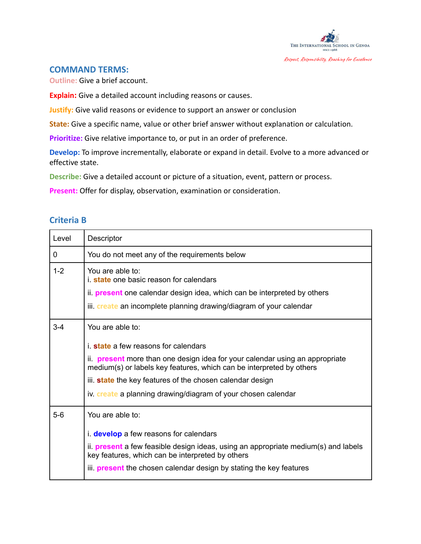

#### **COMMAND TERMS:**

**Outline:** Give a brief account.

**Explain:** Give a detailed account including reasons or causes.

**Justify:** Give valid reasons or evidence to support an answer or conclusion

**State:** Give a specific name, value or other brief answer without explanation or calculation.

**Prioritize:** Give relative importance to, or put in an order of preference.

**Develop:** To improve incrementally, elaborate or expand in detail. Evolve to a more advanced or effective state.

**Describe:** Give a detailed account or picture of a situation, event, pattern or process.

**Present:** Offer for display, observation, examination or consideration.

### **Criteria B**

| Level   | Descriptor                                                                                                                                                                                                                                                                                                                                                          |
|---------|---------------------------------------------------------------------------------------------------------------------------------------------------------------------------------------------------------------------------------------------------------------------------------------------------------------------------------------------------------------------|
| 0       | You do not meet any of the requirements below                                                                                                                                                                                                                                                                                                                       |
| $1 - 2$ | You are able to:<br><i>i.</i> state one basic reason for calendars<br>ii. <b>present</b> one calendar design idea, which can be interpreted by others<br>iii. create an incomplete planning drawing/diagram of your calendar                                                                                                                                        |
| $3 - 4$ | You are able to:<br>i. <b>state</b> a few reasons for calendars<br>ii. <b>present</b> more than one design idea for your calendar using an appropriate<br>medium(s) or labels key features, which can be interpreted by others<br>iii. <b>state</b> the key features of the chosen calendar design<br>iv. create a planning drawing/diagram of your chosen calendar |
| $5-6$   | You are able to:<br>i. <b>develop</b> a few reasons for calendars<br>ii. <b>present</b> a few feasible design ideas, using an appropriate medium(s) and labels<br>key features, which can be interpreted by others<br>iii. <b>present</b> the chosen calendar design by stating the key features                                                                    |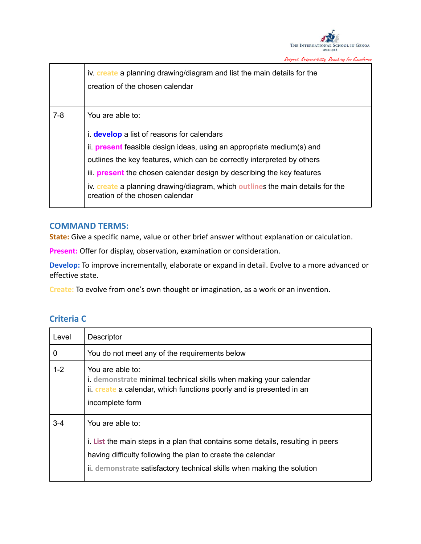

|       | iv. create a planning drawing/diagram and list the main details for the<br>creation of the chosen calendar                                                                                                                                                                                                                                                                                                                      |
|-------|---------------------------------------------------------------------------------------------------------------------------------------------------------------------------------------------------------------------------------------------------------------------------------------------------------------------------------------------------------------------------------------------------------------------------------|
| $7-8$ | You are able to:<br>i. develop a list of reasons for calendars<br>ii. <b>present</b> feasible design ideas, using an appropriate medium(s) and<br>outlines the key features, which can be correctly interpreted by others<br>iii. <b>present</b> the chosen calendar design by describing the key features<br>iv. create a planning drawing/diagram, which outlines the main details for the<br>creation of the chosen calendar |

### **COMMAND TERMS:**

**State:** Give a specific name, value or other brief answer without explanation or calculation.

**Present:** Offer for display, observation, examination or consideration.

**Develop:** To improve incrementally, elaborate or expand in detail. Evolve to a more advanced or effective state.

**Create:** To evolve from one's own thought or imagination, as a work or an invention.

## **Criteria C**

| Level       | <b>Descriptor</b>                                                                                                                                                                                                                            |
|-------------|----------------------------------------------------------------------------------------------------------------------------------------------------------------------------------------------------------------------------------------------|
| $\mathbf 0$ | You do not meet any of the requirements below                                                                                                                                                                                                |
| $1 - 2$     | You are able to:<br>i. demonstrate minimal technical skills when making your calendar<br>ii. create a calendar, which functions poorly and is presented in an<br>incomplete form                                                             |
| $3-4$       | You are able to:<br>i. List the main steps in a plan that contains some details, resulting in peers<br>having difficulty following the plan to create the calendar<br>ii. demonstrate satisfactory technical skills when making the solution |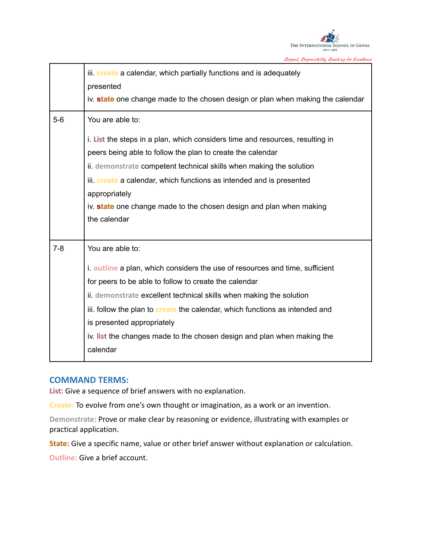

|         | iii. create a calendar, which partially functions and is adequately<br>presented<br>iv. state one change made to the chosen design or plan when making the calendar                                                                                                                                                                                                                                                                          |
|---------|----------------------------------------------------------------------------------------------------------------------------------------------------------------------------------------------------------------------------------------------------------------------------------------------------------------------------------------------------------------------------------------------------------------------------------------------|
| $5-6$   | You are able to:<br>i. List the steps in a plan, which considers time and resources, resulting in<br>peers being able to follow the plan to create the calendar<br>ii. demonstrate competent technical skills when making the solution<br>iii. create a calendar, which functions as intended and is presented<br>appropriately<br>iv. state one change made to the chosen design and plan when making<br>the calendar                       |
| $7 - 8$ | You are able to:<br><i>i.</i> outline a plan, which considers the use of resources and time, sufficient<br>for peers to be able to follow to create the calendar<br>ii. demonstrate excellent technical skills when making the solution<br>iii. follow the plan to create the calendar, which functions as intended and<br>is presented appropriately<br>iv. list the changes made to the chosen design and plan when making the<br>calendar |

#### **COMMAND TERMS:**

**List:** Give a sequence of brief answers with no explanation.

**Create:** To evolve from one's own thought or imagination, as a work or an invention.

**Demonstrate:** Prove or make clear by reasoning or evidence, illustrating with examples or practical application.

**State:** Give a specific name, value or other brief answer without explanation or calculation.

**Outline:** Give a brief account.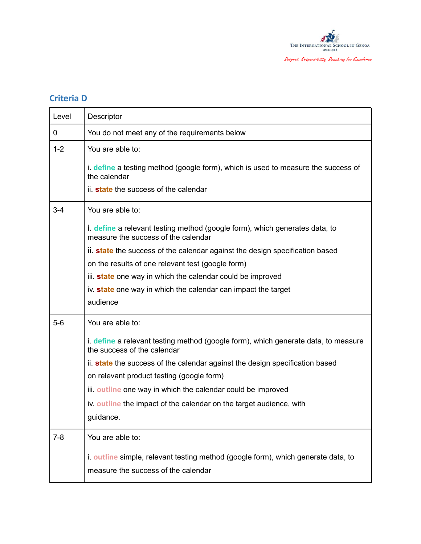

## **Criteria D**

| Level   | Descriptor                                                                                                                      |
|---------|---------------------------------------------------------------------------------------------------------------------------------|
| 0       | You do not meet any of the requirements below                                                                                   |
| $1 - 2$ | You are able to:                                                                                                                |
|         | i. define a testing method (google form), which is used to measure the success of<br>the calendar                               |
|         | ii. <b>state</b> the success of the calendar                                                                                    |
| $3 - 4$ | You are able to:                                                                                                                |
|         | <b>i. define</b> a relevant testing method (google form), which generates data, to<br>measure the success of the calendar       |
|         | ii. <b>state</b> the success of the calendar against the design specification based                                             |
|         | on the results of one relevant test (google form)                                                                               |
|         | iii. <b>state</b> one way in which the calendar could be improved                                                               |
|         | iv. <b>state</b> one way in which the calendar can impact the target                                                            |
|         | audience                                                                                                                        |
| $5-6$   | You are able to:                                                                                                                |
|         | i. define a relevant testing method (google form), which generate data, to measure<br>the success of the calendar               |
|         | ii. <b>state</b> the success of the calendar against the design specification based                                             |
|         | on relevant product testing (google form)                                                                                       |
|         | iii. outline one way in which the calendar could be improved                                                                    |
|         | iv. outline the impact of the calendar on the target audience, with                                                             |
|         | guidance.                                                                                                                       |
| $7 - 8$ | You are able to:                                                                                                                |
|         | <i>i.</i> outline simple, relevant testing method (google form), which generate data, to<br>measure the success of the calendar |